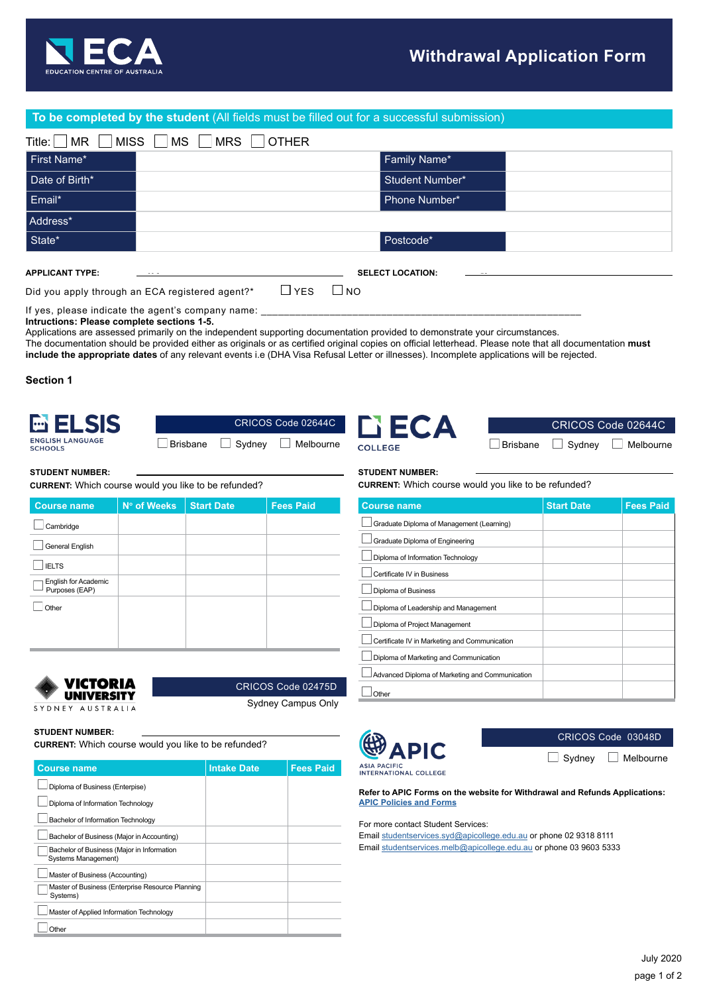

## **To be completed by the student** (All fields must be filled out for a successful submission)

| MISS<br>Title:<br><b>MR</b><br><b>MS</b><br><b>MRS</b><br><b>OTHER</b> |                         |  |
|------------------------------------------------------------------------|-------------------------|--|
| First Name*                                                            | Family Name*            |  |
| Date of Birth*                                                         | <b>Student Number*</b>  |  |
| Email*                                                                 | Phone Number*           |  |
| Address*                                                               |                         |  |
| State*                                                                 | Postcode*               |  |
| <b>APPLICANT TYPE:</b>                                                 | <b>SELECT LOCATION:</b> |  |

Did you apply through an ECA registered agent?\*  $\Box$  YES  $\Box$  NO

If yes, please indicate the agent's company name: **Intructions: Please complete sections 1-5.**

Applications are assessed primarily on the independent supporting documentation provided to demonstrate your circumstances.

The documentation should be provided either as originals or as certified original copies on official letterhead. Please note that all documentation **must include the appropriate dates** of any relevant events i.e (DHA Visa Refusal Letter or illnesses). Incomplete applications will be rejected.

**Section 1**

Cambridge General English

 $\Box$ IELTS

 $\Box$  Other

English for Academic Purposes (EAP)



**STUDENT NUMBER:**

|  | CRICOS Code 02644C              |
|--|---------------------------------|
|  | □ Brisbane □ Sydney □ Melbourne |





## **STUDENT NUMBER:**

**CURRENT:** Which course would you like to be refunded?

| <b>Course name</b>                              | <b>Start Date</b> | <b>Fees Paid</b> |
|-------------------------------------------------|-------------------|------------------|
| Graduate Diploma of Management (Learning)       |                   |                  |
| Graduate Diploma of Engineering                 |                   |                  |
| Diploma of Information Technology               |                   |                  |
| Certificate IV in Business                      |                   |                  |
| Diploma of Business                             |                   |                  |
| Diploma of Leadership and Management            |                   |                  |
| Diploma of Project Management                   |                   |                  |
| Certificate IV in Marketing and Communication   |                   |                  |
| Diploma of Marketing and Communication          |                   |                  |
| Advanced Diploma of Marketing and Communication |                   |                  |
| Other                                           |                   |                  |

Sydney Campus Only

CRICOS Code 02475D

**STUDENT NUMBER:**

VICTORIA **UNIVERSITY** SYDNEY AUSTRALIA

**CURRENT:** Which course would you like to be refunded?

**Course name** | N° of Weeks | Start Date | Fees Paid

**CURRENT:** Which course would you like to be refunded?

| <b>Course name</b>                                                | <b>Intake Date</b> | <b>Fees Paid</b> |
|-------------------------------------------------------------------|--------------------|------------------|
| Diploma of Business (Enterpise)                                   |                    |                  |
| Diploma of Information Technology                                 |                    |                  |
| Bachelor of Information Technology                                |                    |                  |
| Bachelor of Business (Major in Accounting)                        |                    |                  |
| Bachelor of Business (Major in Information<br>Systems Management) |                    |                  |
| Master of Business (Accounting)                                   |                    |                  |
| Master of Business (Enterprise Resource Planning<br>Systems)      |                    |                  |
| Master of Applied Information Technology                          |                    |                  |
| Other                                                             |                    |                  |



CRICOS Code 03048D  $\Box$  Sydney  $\Box$  Melbourne

**ASIA PACIFIC<br>INTERNATIONAL COLLEGE** 

**Refer to APIC Forms on the website for Withdrawal and Refunds Applications: [APIC Policies and Forms](https://apicollege.edu.au/policies-and-regulations/)**

For more contact Student Services:

Email [studentservices.syd@apicollege.edu.au](mailto:studentservices.syd%40apicollege.edu.au?subject=) or phone 02 9318 8111 Email [studentservices.melb@apicollege.edu.au](mailto:studentservices.melb%40apicollege.edu.au?subject=) or phone 03 9603 5333